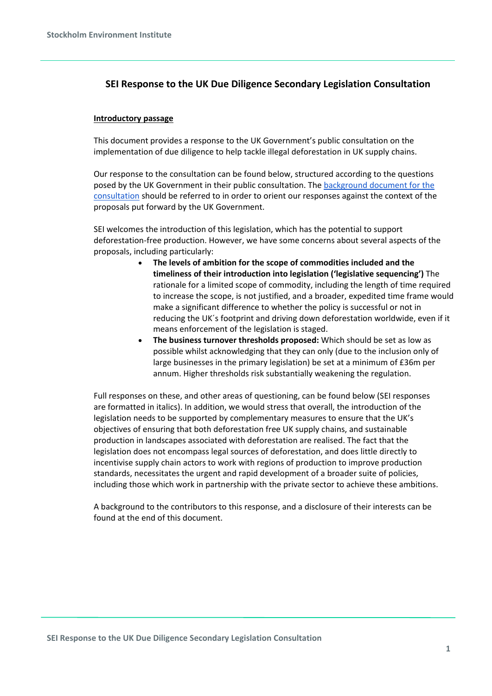# **SEI Response to the UK Due Diligence Secondary Legislation Consultation**

## **Introductory passage**

This document provides a response to the UK Government's public consultation on the implementation of due diligence to help tackle illegal deforestation in UK supply chains.

Our response to the consultation can be found below, structured according to the questions posed by the UK Government in their public consultation. The [background document for the](https://consult.defra.gov.uk/international-biodiversity-and-climate/implementing-due-diligence-forest-risk-commodities/supporting_documents/implementingduediligenceconsultationdocument.pdf)  [consultation](https://consult.defra.gov.uk/international-biodiversity-and-climate/implementing-due-diligence-forest-risk-commodities/supporting_documents/implementingduediligenceconsultationdocument.pdf) should be referred to in order to orient our responses against the context of the proposals put forward by the UK Government.

SEI welcomes the introduction of this legislation, which has the potential to support deforestation-free production. However, we have some concerns about several aspects of the proposals, including particularly:

- **The levels of ambition for the scope of commodities included and the timeliness of their introduction into legislation ('legislative sequencing')** The rationale for a limited scope of commodity, including the length of time required to increase the scope, is not justified, and a broader, expedited time frame would make a significant difference to whether the policy is successful or not in reducing the UK´s footprint and driving down deforestation worldwide, even if it means enforcement of the legislation is staged.
- **The business turnover thresholds proposed:** Which should be set as low as possible whilst acknowledging that they can only (due to the inclusion only of large businesses in the primary legislation) be set at a minimum of £36m per annum. Higher thresholds risk substantially weakening the regulation.

Full responses on these, and other areas of questioning, can be found below (SEI responses are formatted in italics). In addition, we would stress that overall, the introduction of the legislation needs to be supported by complementary measures to ensure that the UK's objectives of ensuring that both deforestation free UK supply chains, and sustainable production in landscapes associated with deforestation are realised. The fact that the legislation does not encompass legal sources of deforestation, and does little directly to incentivise supply chain actors to work with regions of production to improve production standards, necessitates the urgent and rapid development of a broader suite of policies, including those which work in partnership with the private sector to achieve these ambitions.

A background to the contributors to this response, and a disclosure of their interests can be found at the end of this document.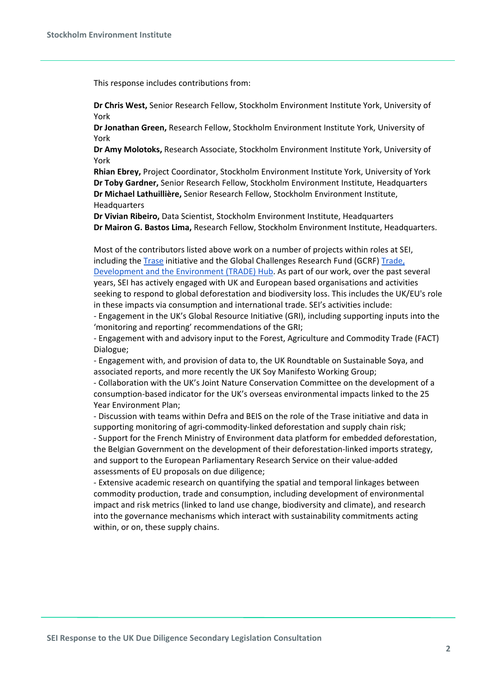This response includes contributions from:

**Dr Chris West,** Senior Research Fellow, Stockholm Environment Institute York, University of York

**Dr Jonathan Green,** Research Fellow, Stockholm Environment Institute York, University of York

**Dr Amy Molotoks,** Research Associate, Stockholm Environment Institute York, University of York

**Rhian Ebrey,** Project Coordinator, Stockholm Environment Institute York, University of York **Dr Toby Gardner,** Senior Research Fellow, Stockholm Environment Institute, Headquarters **Dr Michael Lathuillière,** Senior Research Fellow, Stockholm Environment Institute, **Headquarters** 

**Dr Vivian Ribeiro,** Data Scientist, Stockholm Environment Institute, Headquarters **Dr Mairon G. Bastos Lima,** Research Fellow, Stockholm Environment Institute, Headquarters.

Most of the contributors listed above work on a number of projects within roles at SEI, including the [Trase](http://www.trase.earth/) initiative and the Global Challenges Research Fund (GCRF) [Trade,](http://www.tradehub.earth/)  [Development and the Environment \(TRADE\) Hub.](http://www.tradehub.earth/) As part of our work, over the past several years, SEI has actively engaged with UK and European based organisations and activities seeking to respond to global deforestation and biodiversity loss. This includes the UK/EU's role in these impacts via consumption and international trade. SEI's activities include:

- Engagement in the UK's Global Resource Initiative (GRI), including supporting inputs into the 'monitoring and reporting' recommendations of the GRI;

- Engagement with and advisory input to the Forest, Agriculture and Commodity Trade (FACT) Dialogue;

- Engagement with, and provision of data to, the UK Roundtable on Sustainable Soya, and associated reports, and more recently the UK Soy Manifesto Working Group;

- Collaboration with the UK's Joint Nature Conservation Committee on the development of a consumption-based indicator for the UK's overseas environmental impacts linked to the 25 Year Environment Plan;

- Discussion with teams within Defra and BEIS on the role of the Trase initiative and data in supporting monitoring of agri-commodity-linked deforestation and supply chain risk;

- Support for the French Ministry of Environment data platform for embedded deforestation, the Belgian Government on the development of their deforestation-linked imports strategy, and support to the European Parliamentary Research Service on their value-added assessments of EU proposals on due diligence;

- Extensive academic research on quantifying the spatial and temporal linkages between commodity production, trade and consumption, including development of environmental impact and risk metrics (linked to land use change, biodiversity and climate), and research into the governance mechanisms which interact with sustainability commitments acting within, or on, these supply chains.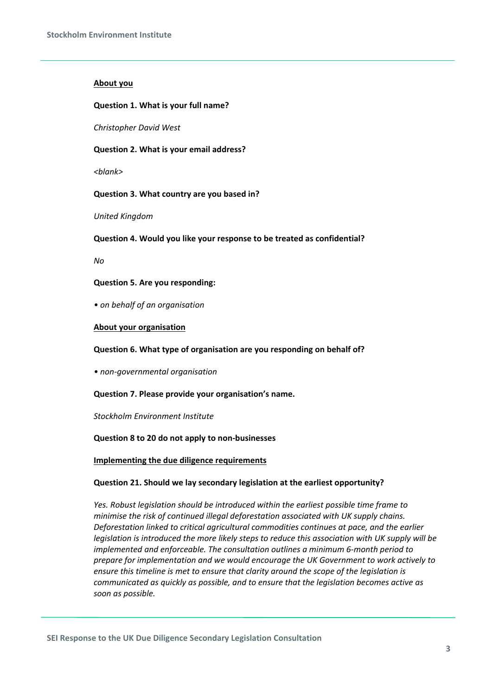#### **About you**

#### **Question 1. What is your full name?**

*Christopher David West*

#### **Question 2. What is your email address?**

*<blank>*

#### **Question 3. What country are you based in?**

*United Kingdom*

#### **Question 4. Would you like your response to be treated as confidential?**

*No*

#### **Question 5. Are you responding:**

*• on behalf of an organisation*

#### **About your organisation**

**Question 6. What type of organisation are you responding on behalf of?**

*• non-governmental organisation*

#### **Question 7. Please provide your organisation's name.**

#### *Stockholm Environment Institute*

#### **Question 8 to 20 do not apply to non-businesses**

**Implementing the due diligence requirements**

#### **Question 21. Should we lay secondary legislation at the earliest opportunity?**

*Yes. Robust legislation should be introduced within the earliest possible time frame to minimise the risk of continued illegal deforestation associated with UK supply chains. Deforestation linked to critical agricultural commodities continues at pace, and the earlier legislation is introduced the more likely steps to reduce this association with UK supply will be implemented and enforceable. The consultation outlines a minimum 6-month period to prepare for implementation and we would encourage the UK Government to work actively to ensure this timeline is met to ensure that clarity around the scope of the legislation is communicated as quickly as possible, and to ensure that the legislation becomes active as soon as possible.*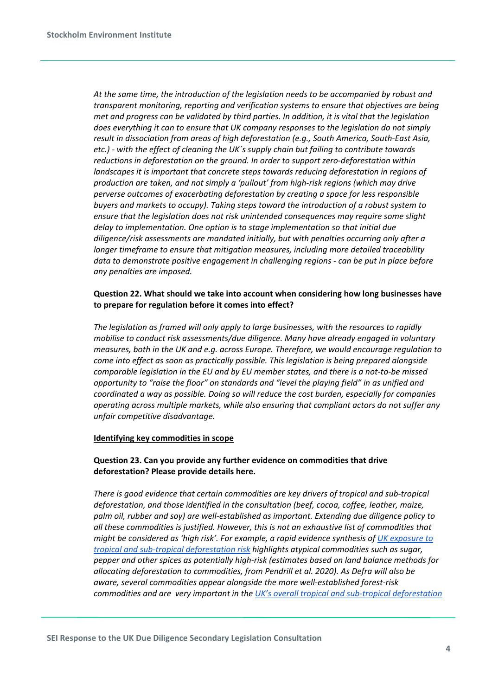*At the same time, the introduction of the legislation needs to be accompanied by robust and transparent monitoring, reporting and verification systems to ensure that objectives are being met and progress can be validated by third parties. In addition, it is vital that the legislation does everything it can to ensure that UK company responses to the legislation do not simply result in dissociation from areas of high deforestation (e.g., South America, South-East Asia, etc.) - with the effect of cleaning the UK´s supply chain but failing to contribute towards reductions in deforestation on the ground. In order to support zero-deforestation within landscapes it is important that concrete steps towards reducing deforestation in regions of production are taken, and not simply a 'pullout' from high-risk regions (which may drive perverse outcomes of exacerbating deforestation by creating a space for less responsible buyers and markets to occupy). Taking steps toward the introduction of a robust system to ensure that the legislation does not risk unintended consequences may require some slight delay to implementation. One option is to stage implementation so that initial due diligence/risk assessments are mandated initially, but with penalties occurring only after a longer timeframe to ensure that mitigation measures, including more detailed traceability data to demonstrate positive engagement in challenging regions - can be put in place before any penalties are imposed.*

# **Question 22. What should we take into account when considering how long businesses have to prepare for regulation before it comes into effect?**

*The legislation as framed will only apply to large businesses, with the resources to rapidly mobilise to conduct risk assessments/due diligence. Many have already engaged in voluntary measures, both in the UK and e.g. across Europe. Therefore, we would encourage regulation to come into effect as soon as practically possible. This legislation is being prepared alongside comparable legislation in the EU and by EU member states, and there is a not-to-be missed opportunity to "raise the floor" on standards and "level the playing field" in as unified and coordinated a way as possible. Doing so will reduce the cost burden, especially for companies operating across multiple markets, while also ensuring that compliant actors do not suffer any unfair competitive disadvantage.*

## **Identifying key commodities in scope**

# **Question 23. Can you provide any further evidence on commodities that drive deforestation? Please provide details here.**

*There is good evidence that certain commodities are key drivers of tropical and sub-tropical deforestation, and those identified in the consultation (beef, cocoa, coffee, leather, maize, palm oil, rubber and soy) are well-established as important. Extending due diligence policy to all these commodities is justified. However, this is not an exhaustive list of commodities that might be considered as 'high risk'. For example, a rapid evidence synthesis of [UK exposure to](https://emeraldopenresearch.s3.amazonaws.com/manuscripts/15396/d754ac69-c12f-4427-8c1e-941bc5261fdc_14306_-_amy_molotoks.pdf?doi=10.35241/emeraldopenres.14306.1&numberOfBrowsableCollections=7&numberOfBrowsableInstitutionalCollections=0&numberOfBrowsableGateways=6)  [tropical and sub-tropical deforestation risk](https://emeraldopenresearch.s3.amazonaws.com/manuscripts/15396/d754ac69-c12f-4427-8c1e-941bc5261fdc_14306_-_amy_molotoks.pdf?doi=10.35241/emeraldopenres.14306.1&numberOfBrowsableCollections=7&numberOfBrowsableInstitutionalCollections=0&numberOfBrowsableGateways=6) highlights atypical commodities such as sugar, pepper and other spices as potentially high-risk (estimates based on land balance methods for allocating deforestation to commodities, from Pendrill et al. 2020). As Defra will also be aware, several commodities appear alongside the more well-established forest-risk commodities and are very important in th[e UK's overall tropical and sub-tropical deforestation](http://www.commodityfootprints.earth/)*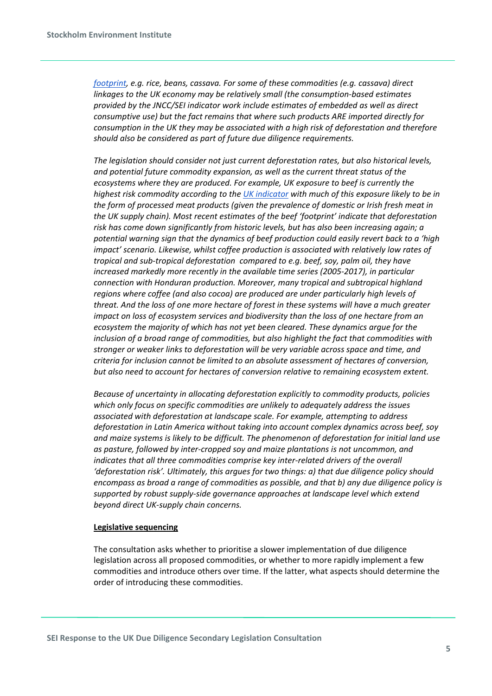*[footprint,](http://www.commodityfootprints.earth/) e.g. rice, beans, cassava. For some of these commodities (e.g. cassava) direct linkages to the UK economy may be relatively small (the consumption-based estimates provided by the JNCC/SEI indicator work include estimates of embedded as well as direct consumptive use) but the fact remains that where such products ARE imported directly for consumption in the UK they may be associated with a high risk of deforestation and therefore should also be considered as part of future due diligence requirements.*

*The legislation should consider not just current deforestation rates, but also historical levels, and potential future commodity expansion, as well as the current threat status of the ecosystems where they are produced. For example, UK exposure to beef is currently the highest risk commodity according to the [UK indicator](https://commodityfootprints.earth/) with much of this exposure likely to be in the form of processed meat products (given the prevalence of domestic or Irish fresh meat in the UK supply chain). Most recent estimates of the beef 'footprint' indicate that deforestation risk has come down significantly from historic levels, but has also been increasing again; a potential warning sign that the dynamics of beef production could easily revert back to a 'high impact' scenario. Likewise, whilst coffee production is associated with relatively low rates of tropical and sub-tropical deforestation compared to e.g. beef, soy, palm oil, they have increased markedly more recently in the available time series (2005-2017), in particular connection with Honduran production. Moreover, many tropical and subtropical highland regions where coffee (and also cocoa) are produced are under particularly high levels of threat. And the loss of one more hectare of forest in these systems will have a much greater impact on loss of ecosystem services and biodiversity than the loss of one hectare from an ecosystem the majority of which has not yet been cleared. These dynamics argue for the inclusion of a broad range of commodities, but also highlight the fact that commodities with stronger or weaker links to deforestation will be very variable across space and time, and criteria for inclusion cannot be limited to an absolute assessment of hectares of conversion, but also need to account for hectares of conversion relative to remaining ecosystem extent.*

*Because of uncertainty in allocating deforestation explicitly to commodity products, policies which only focus on specific commodities are unlikely to adequately address the issues associated with deforestation at landscape scale. For example, attempting to address deforestation in Latin America without taking into account complex dynamics across beef, soy and maize systems is likely to be difficult. The phenomenon of deforestation for initial land use as pasture, followed by inter-cropped soy and maize plantations is not uncommon, and indicates that all three commodities comprise key inter-related drivers of the overall 'deforestation risk'. Ultimately, this argues for two things: a) that due diligence policy should encompass as broad a range of commodities as possible, and that b) any due diligence policy is supported by robust supply-side governance approaches at landscape level which extend beyond direct UK-supply chain concerns.*

#### **Legislative sequencing**

The consultation asks whether to prioritise a slower implementation of due diligence legislation across all proposed commodities, or whether to more rapidly implement a few commodities and introduce others over time. If the latter, what aspects should determine the order of introducing these commodities.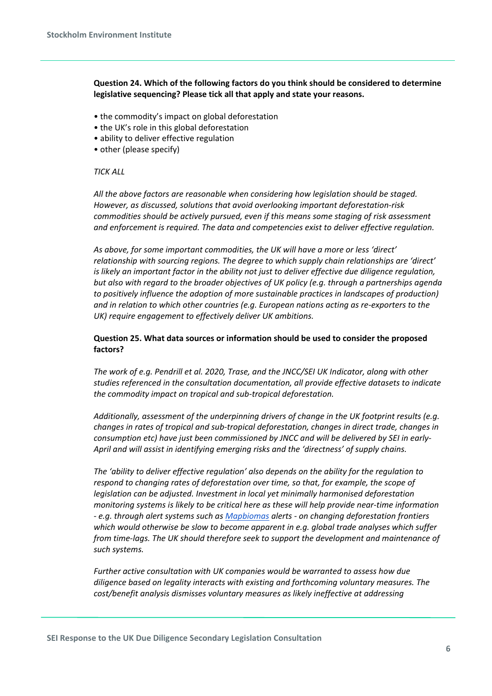**Question 24. Which of the following factors do you think should be considered to determine legislative sequencing? Please tick all that apply and state your reasons.**

- the commodity's impact on global deforestation
- the UK's role in this global deforestation
- ability to deliver effective regulation
- other (please specify)

#### *TICK ALL*

*All the above factors are reasonable when considering how legislation should be staged. However, as discussed, solutions that avoid overlooking important deforestation-risk commodities should be actively pursued, even if this means some staging of risk assessment and enforcement is required. The data and competencies exist to deliver effective regulation.*

*As above, for some important commodities, the UK will have a more or less 'direct' relationship with sourcing regions. The degree to which supply chain relationships are 'direct' is likely an important factor in the ability not just to deliver effective due diligence regulation, but also with regard to the broader objectives of UK policy (e.g. through a partnerships agenda to positively influence the adoption of more sustainable practices in landscapes of production) and in relation to which other countries (e.g. European nations acting as re-exporters to the UK) require engagement to effectively deliver UK ambitions.* 

## **Question 25. What data sources or information should be used to consider the proposed factors?**

*The work of e.g. Pendrill et al. 2020, Trase, and the JNCC/SEI UK Indicator, along with other studies referenced in the consultation documentation, all provide effective datasets to indicate the commodity impact on tropical and sub-tropical deforestation.*

*Additionally, assessment of the underpinning drivers of change in the UK footprint results (e.g. changes in rates of tropical and sub-tropical deforestation, changes in direct trade, changes in consumption etc) have just been commissioned by JNCC and will be delivered by SEI in early-April and will assist in identifying emerging risks and the 'directness' of supply chains.*

*The 'ability to deliver effective regulation' also depends on the ability for the regulation to respond to changing rates of deforestation over time, so that, for example, the scope of legislation can be adjusted. Investment in local yet minimally harmonised deforestation monitoring systems is likely to be critical here as these will help provide near-time information - e.g. through alert systems such as [Mapbiomas](https://alerta.mapbiomas.org/en) alerts - on changing deforestation frontiers which would otherwise be slow to become apparent in e.g. global trade analyses which suffer from time-lags. The UK should therefore seek to support the development and maintenance of such systems.*

*Further active consultation with UK companies would be warranted to assess how due diligence based on legality interacts with existing and forthcoming voluntary measures. The cost/benefit analysis dismisses voluntary measures as likely ineffective at addressing* 

**SEI Response to the UK Due Diligence Secondary Legislation Consultation**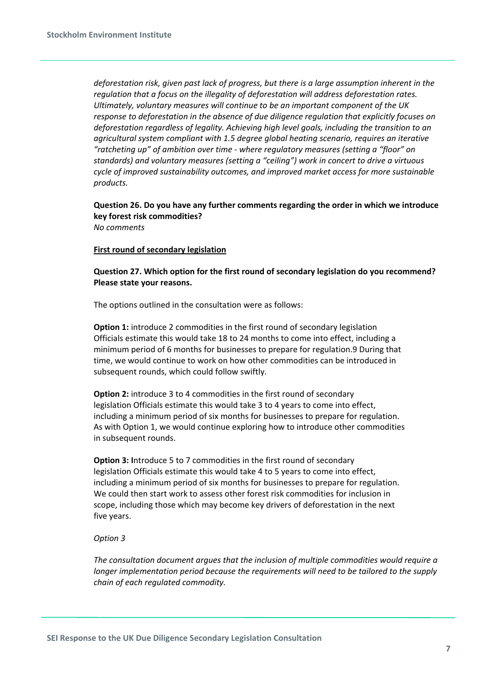*deforestation risk, given past lack of progress, but there is a large assumption inherent in the regulation that a focus on the illegality of deforestation will address deforestation rates. Ultimately, voluntary measures will continue to be an important component of the UK response to deforestation in the absence of due diligence regulation that explicitly focuses on deforestation regardless of legality. Achieving high level goals, including the transition to an agricultural system compliant with 1.5 degree global heating scenario, requires an iterative "ratcheting up" of ambition over time - where regulatory measures (setting a "floor" on standards) and voluntary measures (setting a "ceiling") work in concert to drive a virtuous cycle of improved sustainability outcomes, and improved market access for more sustainable products.*

# **Question 26. Do you have any further comments regarding the order in which we introduce key forest risk commodities?**

*No comments*

#### **First round of secondary legislation**

**Question 27. Which option for the first round of secondary legislation do you recommend? Please state your reasons.**

The options outlined in the consultation were as follows:

**Option 1:** introduce 2 commodities in the first round of secondary legislation Officials estimate this would take 18 to 24 months to come into effect, including a minimum period of 6 months for businesses to prepare for regulation.9 During that time, we would continue to work on how other commodities can be introduced in subsequent rounds, which could follow swiftly.

**Option 2:** introduce 3 to 4 commodities in the first round of secondary legislation Officials estimate this would take 3 to 4 years to come into effect, including a minimum period of six months for businesses to prepare for regulation. As with Option 1, we would continue exploring how to introduce other commodities in subsequent rounds.

**Option 3: Introduce 5 to 7 commodities in the first round of secondary** legislation Officials estimate this would take 4 to 5 years to come into effect, including a minimum period of six months for businesses to prepare for regulation. We could then start work to assess other forest risk commodities for inclusion in scope, including those which may become key drivers of deforestation in the next five years.

#### *Option 3*

*The consultation document argues that the inclusion of multiple commodities would require a longer implementation period because the requirements will need to be tailored to the supply chain of each regulated commodity.*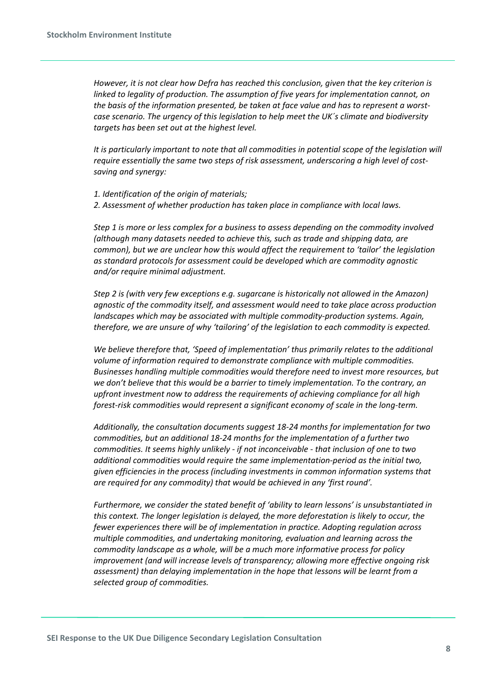*However, it is not clear how Defra has reached this conclusion, given that the key criterion is linked to legality of production. The assumption of five years for implementation cannot, on the basis of the information presented, be taken at face value and has to represent a worstcase scenario. The urgency of this legislation to help meet the UK´s climate and biodiversity targets has been set out at the highest level.*

*It is particularly important to note that all commodities in potential scope of the legislation will require essentially the same two steps of risk assessment, underscoring a high level of costsaving and synergy:*

*1. Identification of the origin of materials; 2. Assessment of whether production has taken place in compliance with local laws.*

*Step 1 is more or less complex for a business to assess depending on the commodity involved (although many datasets needed to achieve this, such as trade and shipping data, are common), but we are unclear how this would affect the requirement to 'tailor' the legislation as standard protocols for assessment could be developed which are commodity agnostic and/or require minimal adjustment.*

*Step 2 is (with very few exceptions e.g. sugarcane is historically not allowed in the Amazon) agnostic of the commodity itself, and assessment would need to take place across production landscapes which may be associated with multiple commodity-production systems. Again, therefore, we are unsure of why 'tailoring' of the legislation to each commodity is expected.*

*We believe therefore that, 'Speed of implementation' thus primarily relates to the additional volume of information required to demonstrate compliance with multiple commodities. Businesses handling multiple commodities would therefore need to invest more resources, but we don't believe that this would be a barrier to timely implementation. To the contrary, an upfront investment now to address the requirements of achieving compliance for all high forest-risk commodities would represent a significant economy of scale in the long-term.*

*Additionally, the consultation documents suggest 18-24 months for implementation for two commodities, but an additional 18-24 months for the implementation of a further two commodities. It seems highly unlikely - if not inconceivable - that inclusion of one to two additional commodities would require the same implementation-period as the initial two, given efficiencies in the process (including investments in common information systems that are required for any commodity) that would be achieved in any 'first round'.*

*Furthermore, we consider the stated benefit of 'ability to learn lessons' is unsubstantiated in this context. The longer legislation is delayed, the more deforestation is likely to occur, the fewer experiences there will be of implementation in practice. Adopting regulation across multiple commodities, and undertaking monitoring, evaluation and learning across the commodity landscape as a whole, will be a much more informative process for policy improvement (and will increase levels of transparency; allowing more effective ongoing risk assessment) than delaying implementation in the hope that lessons will be learnt from a selected group of commodities.*

**SEI Response to the UK Due Diligence Secondary Legislation Consultation**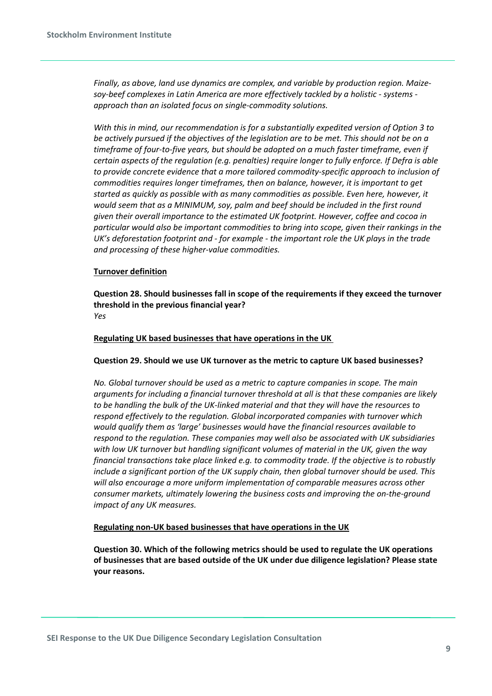*Finally, as above, land use dynamics are complex, and variable by production region. Maizesoy-beef complexes in Latin America are more effectively tackled by a holistic - systems approach than an isolated focus on single-commodity solutions.*

*With this in mind, our recommendation is for a substantially expedited version of Option 3 to be actively pursued if the objectives of the legislation are to be met. This should not be on a timeframe of four-to-five years, but should be adopted on a much faster timeframe, even if certain aspects of the regulation (e.g. penalties) require longer to fully enforce. If Defra is able to provide concrete evidence that a more tailored commodity-specific approach to inclusion of commodities requires longer timeframes, then on balance, however, it is important to get started as quickly as possible with as many commodities as possible. Even here, however, it would seem that as a MINIMUM, soy, palm and beef should be included in the first round given their overall importance to the estimated UK footprint. However, coffee and cocoa in particular would also be important commodities to bring into scope, given their rankings in the UK's deforestation footprint and - for example - the important role the UK plays in the trade and processing of these higher-value commodities.*

# **Turnover definition**

**Question 28. Should businesses fall in scope of the requirements if they exceed the turnover threshold in the previous financial year?** *Yes*

## **Regulating UK based businesses that have operations in the UK**

## **Question 29. Should we use UK turnover as the metric to capture UK based businesses?**

*No. Global turnover should be used as a metric to capture companies in scope. The main arguments for including a financial turnover threshold at all is that these companies are likely to be handling the bulk of the UK-linked material and that they will have the resources to respond effectively to the regulation. Global incorporated companies with turnover which would qualify them as 'large' businesses would have the financial resources available to respond to the regulation. These companies may well also be associated with UK subsidiaries with low UK turnover but handling significant volumes of material in the UK, given the way financial transactions take place linked e.g. to commodity trade. If the objective is to robustly include a significant portion of the UK supply chain, then global turnover should be used. This will also encourage a more uniform implementation of comparable measures across other consumer markets, ultimately lowering the business costs and improving the on-the-ground impact of any UK measures.*

## **Regulating non-UK based businesses that have operations in the UK**

**Question 30. Which of the following metrics should be used to regulate the UK operations of businesses that are based outside of the UK under due diligence legislation? Please state your reasons.**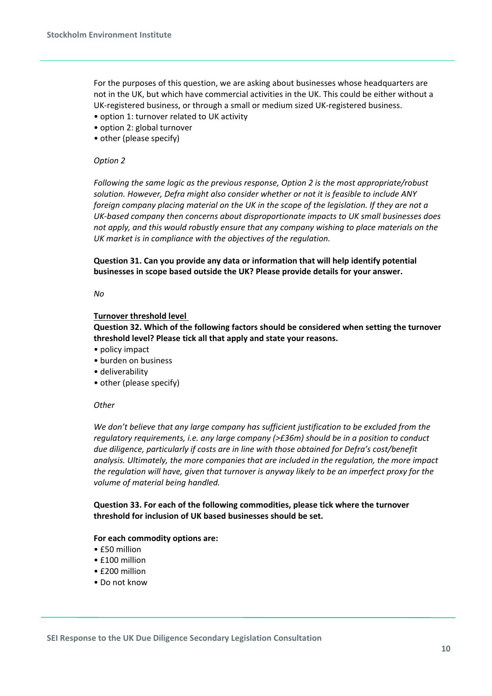For the purposes of this question, we are asking about businesses whose headquarters are not in the UK, but which have commercial activities in the UK. This could be either without a UK-registered business, or through a small or medium sized UK-registered business.

- option 1: turnover related to UK activity
- option 2: global turnover
- other (please specify)

## *Option 2*

*Following the same logic as the previous response, Option 2 is the most appropriate/robust solution. However, Defra might also consider whether or not it is feasible to include ANY foreign company placing material on the UK in the scope of the legislation. If they are not a UK-based company then concerns about disproportionate impacts to UK small businesses does not apply, and this would robustly ensure that any company wishing to place materials on the UK market is in compliance with the objectives of the regulation.*

**Question 31. Can you provide any data or information that will help identify potential businesses in scope based outside the UK? Please provide details for your answer.**

#### *No*

## **Turnover threshold level**

**Question 32. Which of the following factors should be considered when setting the turnover threshold level? Please tick all that apply and state your reasons.**

- policy impact
- burden on business
- deliverability
- other (please specify)

## *Other*

*We don't believe that any large company has sufficient justification to be excluded from the regulatory requirements, i.e. any large company (>£36m) should be in a position to conduct due diligence, particularly if costs are in line with those obtained for Defra's cost/benefit analysis. Ultimately, the more companies that are included in the regulation, the more impact the regulation will have, given that turnover is anyway likely to be an imperfect proxy for the volume of material being handled.*

**Question 33. For each of the following commodities, please tick where the turnover threshold for inclusion of UK based businesses should be set.**

## **For each commodity options are:**

- £50 million
- £100 million
- £200 million
- Do not know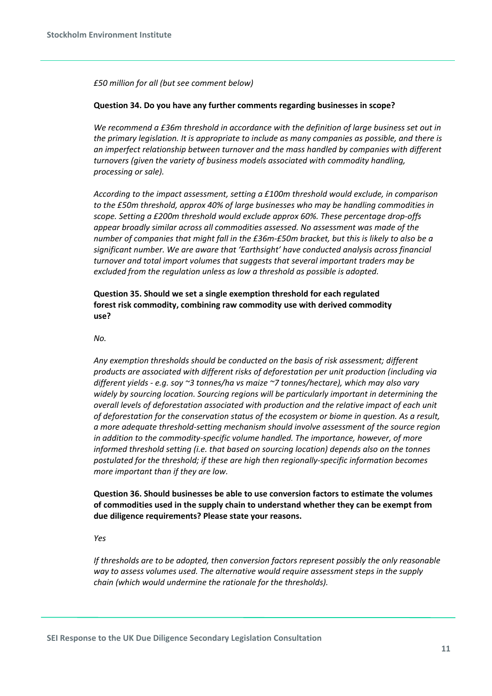*£50 million for all (but see comment below)*

#### **Question 34. Do you have any further comments regarding businesses in scope?**

*We recommend a £36m threshold in accordance with the definition of large business set out in the primary legislation. It is appropriate to include as many companies as possible, and there is an imperfect relationship between turnover and the mass handled by companies with different turnovers (given the variety of business models associated with commodity handling, processing or sale).*

*According to the impact assessment, setting a £100m threshold would exclude, in comparison to the £50m threshold, approx 40% of large businesses who may be handling commodities in scope. Setting a £200m threshold would exclude approx 60%. These percentage drop-offs appear broadly similar across all commodities assessed. No assessment was made of the number of companies that might fall in the £36m-£50m bracket, but this is likely to also be a significant number. We are aware that 'Earthsight' have conducted analysis across financial turnover and total import volumes that suggests that several important traders may be excluded from the regulation unless as low a threshold as possible is adopted.*

**Question 35. Should we set a single exemption threshold for each regulated forest risk commodity, combining raw commodity use with derived commodity use?**

*No.*

*Any exemption thresholds should be conducted on the basis of risk assessment; different products are associated with different risks of deforestation per unit production (including via different yields - e.g. soy ~3 tonnes/ha vs maize ~7 tonnes/hectare), which may also vary widely by sourcing location. Sourcing regions will be particularly important in determining the overall levels of deforestation associated with production and the relative impact of each unit of deforestation for the conservation status of the ecosystem or biome in question. As a result, a more adequate threshold-setting mechanism should involve assessment of the source region in addition to the commodity-specific volume handled. The importance, however, of more informed threshold setting (i.e. that based on sourcing location) depends also on the tonnes postulated for the threshold; if these are high then regionally-specific information becomes more important than if they are low.*

**Question 36. Should businesses be able to use conversion factors to estimate the volumes of commodities used in the supply chain to understand whether they can be exempt from due diligence requirements? Please state your reasons.**

*Yes*

*If thresholds are to be adopted, then conversion factors represent possibly the only reasonable way to assess volumes used. The alternative would require assessment steps in the supply chain (which would undermine the rationale for the thresholds).*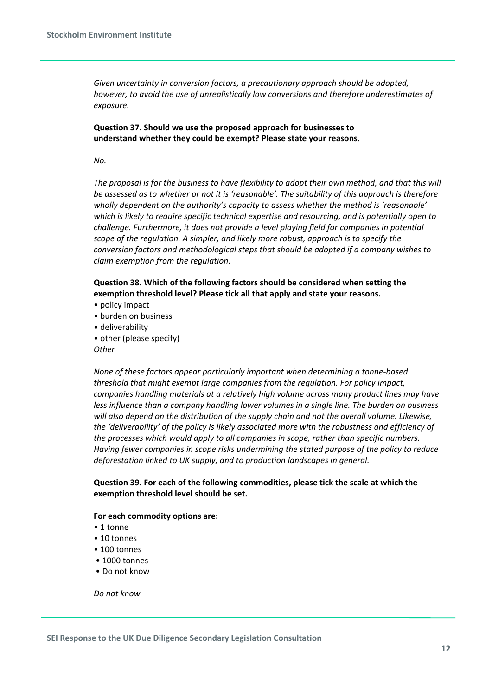*Given uncertainty in conversion factors, a precautionary approach should be adopted, however, to avoid the use of unrealistically low conversions and therefore underestimates of exposure.*

**Question 37. Should we use the proposed approach for businesses to understand whether they could be exempt? Please state your reasons.**

*No.*

*The proposal is for the business to have flexibility to adopt their own method, and that this will be assessed as to whether or not it is 'reasonable'. The suitability of this approach is therefore wholly dependent on the authority's capacity to assess whether the method is 'reasonable' which is likely to require specific technical expertise and resourcing, and is potentially open to challenge. Furthermore, it does not provide a level playing field for companies in potential scope of the regulation. A simpler, and likely more robust, approach is to specify the conversion factors and methodological steps that should be adopted if a company wishes to claim exemption from the regulation.*

**Question 38. Which of the following factors should be considered when setting the exemption threshold level? Please tick all that apply and state your reasons.**

- policy impact
- burden on business
- deliverability
- other (please specify)

*Other*

*None of these factors appear particularly important when determining a tonne-based threshold that might exempt large companies from the regulation. For policy impact, companies handling materials at a relatively high volume across many product lines may have less influence than a company handling lower volumes in a single line. The burden on business will also depend on the distribution of the supply chain and not the overall volume. Likewise, the 'deliverability' of the policy is likely associated more with the robustness and efficiency of the processes which would apply to all companies in scope, rather than specific numbers. Having fewer companies in scope risks undermining the stated purpose of the policy to reduce deforestation linked to UK supply, and to production landscapes in general.*

**Question 39. For each of the following commodities, please tick the scale at which the exemption threshold level should be set.**

## **For each commodity options are:**

- 1 tonne
- 10 tonnes
- 100 tonnes
- 1000 tonnes
- Do not know

*Do not know*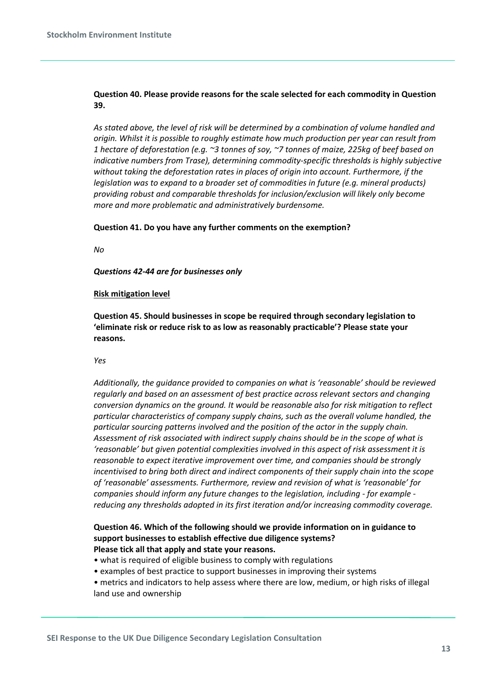# **Question 40. Please provide reasons for the scale selected for each commodity in Question 39.**

*As stated above, the level of risk will be determined by a combination of volume handled and origin. Whilst it is possible to roughly estimate how much production per year can result from 1 hectare of deforestation (e.g. ~3 tonnes of soy, ~7 tonnes of maize, 225kg of beef based on indicative numbers from Trase), determining commodity-specific thresholds is highly subjective without taking the deforestation rates in places of origin into account. Furthermore, if the legislation was to expand to a broader set of commodities in future (e.g. mineral products) providing robust and comparable thresholds for inclusion/exclusion will likely only become more and more problematic and administratively burdensome.*

## **Question 41. Do you have any further comments on the exemption?**

*No*

*Questions 42-44 are for businesses only*

## **Risk mitigation level**

**Question 45. Should businesses in scope be required through secondary legislation to 'eliminate risk or reduce risk to as low as reasonably practicable'? Please state your reasons.**

*Yes*

*Additionally, the guidance provided to companies on what is 'reasonable' should be reviewed regularly and based on an assessment of best practice across relevant sectors and changing conversion dynamics on the ground. It would be reasonable also for risk mitigation to reflect particular characteristics of company supply chains, such as the overall volume handled, the particular sourcing patterns involved and the position of the actor in the supply chain. Assessment of risk associated with indirect supply chains should be in the scope of what is 'reasonable' but given potential complexities involved in this aspect of risk assessment it is reasonable to expect iterative improvement over time, and companies should be strongly incentivised to bring both direct and indirect components of their supply chain into the scope of 'reasonable' assessments. Furthermore, review and revision of what is 'reasonable' for companies should inform any future changes to the legislation, including - for example reducing any thresholds adopted in its first iteration and/or increasing commodity coverage.*

## **Question 46. Which of the following should we provide information on in guidance to support businesses to establish effective due diligence systems? Please tick all that apply and state your reasons.**

- what is required of eligible business to comply with regulations
- examples of best practice to support businesses in improving their systems
- metrics and indicators to help assess where there are low, medium, or high risks of illegal land use and ownership

**SEI Response to the UK Due Diligence Secondary Legislation Consultation**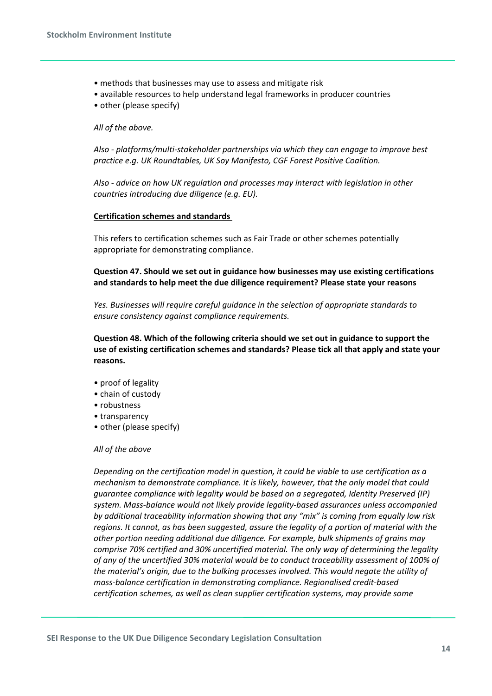- methods that businesses may use to assess and mitigate risk
- available resources to help understand legal frameworks in producer countries
- other (please specify)

#### *All of the above.*

*Also - platforms/multi-stakeholder partnerships via which they can engage to improve best practice e.g. UK Roundtables, UK Soy Manifesto, CGF Forest Positive Coalition.*

*Also - advice on how UK regulation and processes may interact with legislation in other countries introducing due diligence (e.g. EU).*

#### **Certification schemes and standards**

This refers to certification schemes such as Fair Trade or other schemes potentially appropriate for demonstrating compliance.

**Question 47. Should we set out in guidance how businesses may use existing certifications and standards to help meet the due diligence requirement? Please state your reasons**

*Yes. Businesses will require careful guidance in the selection of appropriate standards to ensure consistency against compliance requirements.*

**Question 48. Which of the following criteria should we set out in guidance to support the use of existing certification schemes and standards? Please tick all that apply and state your reasons.**

- proof of legality
- chain of custody
- robustness
- transparency
- other (please specify)

#### *All of the above*

*Depending on the certification model in question, it could be viable to use certification as a mechanism to demonstrate compliance. It is likely, however, that the only model that could guarantee compliance with legality would be based on a segregated, Identity Preserved (IP) system. Mass-balance would not likely provide legality-based assurances unless accompanied by additional traceability information showing that any "mix" is coming from equally low risk regions. It cannot, as has been suggested, assure the legality of a portion of material with the other portion needing additional due diligence. For example, bulk shipments of grains may comprise 70% certified and 30% uncertified material. The only way of determining the legality of any of the uncertified 30% material would be to conduct traceability assessment of 100% of the material's origin, due to the bulking processes involved. This would negate the utility of mass-balance certification in demonstrating compliance. Regionalised credit-based certification schemes, as well as clean supplier certification systems, may provide some*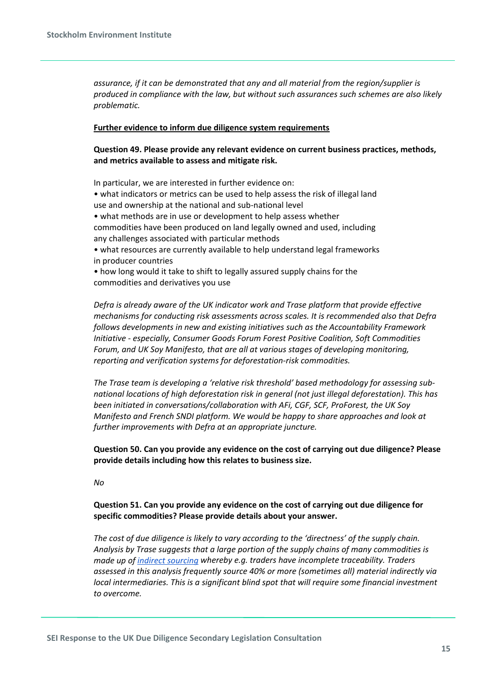*assurance, if it can be demonstrated that any and all material from the region/supplier is produced in compliance with the law, but without such assurances such schemes are also likely problematic.*

#### **Further evidence to inform due diligence system requirements**

**Question 49. Please provide any relevant evidence on current business practices, methods, and metrics available to assess and mitigate risk.**

In particular, we are interested in further evidence on:

• what indicators or metrics can be used to help assess the risk of illegal land use and ownership at the national and sub-national level

• what methods are in use or development to help assess whether commodities have been produced on land legally owned and used, including any challenges associated with particular methods

• what resources are currently available to help understand legal frameworks in producer countries

• how long would it take to shift to legally assured supply chains for the commodities and derivatives you use

*Defra is already aware of the UK indicator work and Trase platform that provide effective mechanisms for conducting risk assessments across scales. It is recommended also that Defra follows developments in new and existing initiatives such as the Accountability Framework Initiative - especially, Consumer Goods Forum Forest Positive Coalition, Soft Commodities Forum, and UK Soy Manifesto, that are all at various stages of developing monitoring, reporting and verification systems for deforestation-risk commodities.*

*The Trase team is developing a 'relative risk threshold' based methodology for assessing subnational locations of high deforestation risk in general (not just illegal deforestation). This has been initiated in conversations/collaboration with AFi, CGF, SCF, ProForest, the UK Soy Manifesto and French SNDI platform. We would be happy to share approaches and look at further improvements with Defra at an appropriate juncture.*

**Question 50. Can you provide any evidence on the cost of carrying out due diligence? Please provide details including how this relates to business size.**

*No*

**Question 51. Can you provide any evidence on the cost of carrying out due diligence for specific commodities? Please provide details about your answer.**

*The cost of due diligence is likely to vary according to the 'directness' of the supply chain. Analysis by Trase suggests that a large portion of the supply chains of many commodities is made up of [indirect sourcing](https://agrirxiv.org/search-details/?pan=20210399227) whereby e.g. traders have incomplete traceability. Traders assessed in this analysis frequently source 40% or more (sometimes all) material indirectly via local intermediaries. This is a significant blind spot that will require some financial investment to overcome.*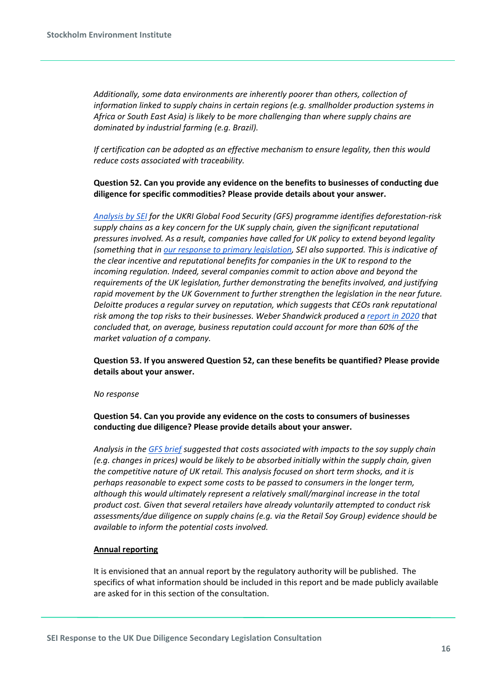*Additionally, some data environments are inherently poorer than others, collection of information linked to supply chains in certain regions (e.g. smallholder production systems in Africa or South East Asia) is likely to be more challenging than where supply chains are dominated by industrial farming (e.g. Brazil).*

*If certification can be adopted as an effective mechanism to ensure legality, then this would reduce costs associated with traceability.*

**Question 52. Can you provide any evidence on the benefits to businesses of conducting due diligence for specific commodities? Please provide details about your answer.**

*[Analysis by SEI](https://www.foodsystemresilienceuk.org/wp-content/uploads/FSR-soy-demand-chains_NOV21.pdf?utm_campaign=Weekly%20newsletter%20of%20Environment%26Trade%20News%20%28%40ETradeNews%29&utm_medium=email&utm_source=Revue%20newsletter) for the UKRI Global Food Security (GFS) programme identifies deforestation-risk supply chains as a key concern for the UK supply chain, given the significant reputational pressures involved. As a result, companies have called for UK policy to extend beyond legality (something that in [our response to primary legislation,](https://cdn.sei.org/wp-content/uploads/2020/10/uk-due-diligence-deforestation-legislation-sei-response.pdf) SEI also supported. This is indicative of the clear incentive and reputational benefits for companies in the UK to respond to the incoming regulation. Indeed, several companies commit to action above and beyond the requirements of the UK legislation, further demonstrating the benefits involved, and justifying rapid movement by the UK Government to further strengthen the legislation in the near future. Deloitte produces a regular survey on reputation, which suggests that CEOs rank reputational risk among the top risks to their businesses. Weber Shandwick produced a [report in 2020](https://www.webershandwick.com/wp-content/uploads/2020/01/The-State-of-Corporate-Reputation-in-2020_executive-summary_FINAL.pdf) that concluded that, on average, business reputation could account for more than 60% of the market valuation of a company.*

**Question 53. If you answered Question 52, can these benefits be quantified? Please provide details about your answer.**

#### *No response*

**Question 54. Can you provide any evidence on the costs to consumers of businesses conducting due diligence? Please provide details about your answer.**

*Analysis in the [GFS brief](https://www.foodsystemresilienceuk.org/wp-content/uploads/FSR-soy-demand-chains_NOV21.pdf?utm_campaign=Weekly%20newsletter%20of%20Environment%26Trade%20News%20%28%40ETradeNews%29&utm_medium=email&utm_source=Revue%20newsletter) suggested that costs associated with impacts to the soy supply chain (e.g. changes in prices) would be likely to be absorbed initially within the supply chain, given the competitive nature of UK retail. This analysis focused on short term shocks, and it is perhaps reasonable to expect some costs to be passed to consumers in the longer term, although this would ultimately represent a relatively small/marginal increase in the total product cost. Given that several retailers have already voluntarily attempted to conduct risk assessments/due diligence on supply chains (e.g. via the Retail Soy Group) evidence should be available to inform the potential costs involved.*

## **Annual reporting**

It is envisioned that an annual report by the regulatory authority will be published. The specifics of what information should be included in this report and be made publicly available are asked for in this section of the consultation.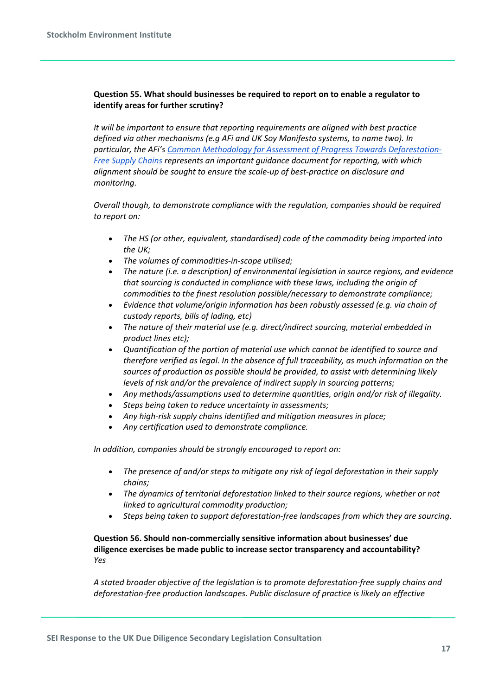# **Question 55. What should businesses be required to report on to enable a regulator to identify areas for further scrutiny?**

*It will be important to ensure that reporting requirements are aligned with best practice defined via other mechanisms (e.g AFi and UK Soy Manifesto systems, to name two). In particular, the AFi'[s Common Methodology for Assessment of Progress Towards Deforestation-](https://accountability-framework.org/how-to-use-it/resources-library/common-methodology-for-assessment-of-progress-towards-deforestation-free-supply-chains/)[Free Supply Chains](https://accountability-framework.org/how-to-use-it/resources-library/common-methodology-for-assessment-of-progress-towards-deforestation-free-supply-chains/) represents an important guidance document for reporting, with which alignment should be sought to ensure the scale-up of best-practice on disclosure and monitoring.*

*Overall though, to demonstrate compliance with the regulation, companies should be required to report on:*

- *The HS (or other, equivalent, standardised) code of the commodity being imported into the UK;*
- *The volumes of commodities-in-scope utilised;*
- *The nature (i.e. a description) of environmental legislation in source regions, and evidence that sourcing is conducted in compliance with these laws, including the origin of commodities to the finest resolution possible/necessary to demonstrate compliance;*
- *Evidence that volume/origin information has been robustly assessed (e.g. via chain of custody reports, bills of lading, etc)*
- *The nature of their material use (e.g. direct/indirect sourcing, material embedded in product lines etc);*
- *Quantification of the portion of material use which cannot be identified to source and therefore verified as legal. In the absence of full traceability, as much information on the sources of production as possible should be provided, to assist with determining likely levels of risk and/or the prevalence of indirect supply in sourcing patterns;*
- *Any methods/assumptions used to determine quantities, origin and/or risk of illegality.*
- *Steps being taken to reduce uncertainty in assessments;*
- *Any high-risk supply chains identified and mitigation measures in place;*
- *Any certification used to demonstrate compliance.*

*In addition, companies should be strongly encouraged to report on:*

- *The presence of and/or steps to mitigate any risk of legal deforestation in their supply chains;*
- *The dynamics of territorial deforestation linked to their source regions, whether or not linked to agricultural commodity production;*
- *Steps being taken to support deforestation-free landscapes from which they are sourcing.*

# **Question 56. Should non-commercially sensitive information about businesses' due diligence exercises be made public to increase sector transparency and accountability?** *Yes*

*A stated broader objective of the legislation is to promote deforestation-free supply chains and deforestation-free production landscapes. Public disclosure of practice is likely an effective*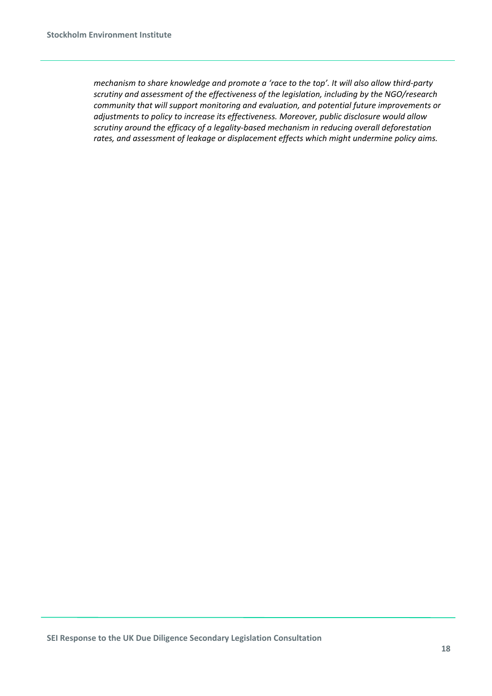*mechanism to share knowledge and promote a 'race to the top'. It will also allow third-party scrutiny and assessment of the effectiveness of the legislation, including by the NGO/research community that will support monitoring and evaluation, and potential future improvements or adjustments to policy to increase its effectiveness. Moreover, public disclosure would allow scrutiny around the efficacy of a legality-based mechanism in reducing overall deforestation rates, and assessment of leakage or displacement effects which might undermine policy aims.*